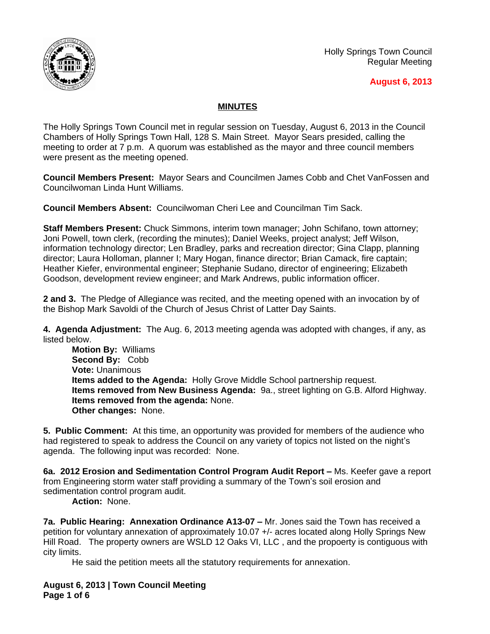

Holly Springs Town Council Regular Meeting

## **August 6, 2013**

## **MINUTES**

The Holly Springs Town Council met in regular session on Tuesday, August 6, 2013 in the Council Chambers of Holly Springs Town Hall, 128 S. Main Street. Mayor Sears presided, calling the meeting to order at 7 p.m. A quorum was established as the mayor and three council members were present as the meeting opened.

**Council Members Present:** Mayor Sears and Councilmen James Cobb and Chet VanFossen and Councilwoman Linda Hunt Williams.

**Council Members Absent:** Councilwoman Cheri Lee and Councilman Tim Sack.

**Staff Members Present:** Chuck Simmons, interim town manager; John Schifano, town attorney; Joni Powell, town clerk, (recording the minutes); Daniel Weeks, project analyst; Jeff Wilson, information technology director; Len Bradley, parks and recreation director; Gina Clapp, planning director; Laura Holloman, planner I; Mary Hogan, finance director; Brian Camack, fire captain; Heather Kiefer, environmental engineer; Stephanie Sudano, director of engineering; Elizabeth Goodson, development review engineer; and Mark Andrews, public information officer.

**2 and 3.** The Pledge of Allegiance was recited, and the meeting opened with an invocation by of the Bishop Mark Savoldi of the Church of Jesus Christ of Latter Day Saints.

**4. Agenda Adjustment:** The Aug. 6, 2013 meeting agenda was adopted with changes, if any, as listed below.

**Motion By:** Williams **Second By:** Cobb **Vote:** Unanimous **Items added to the Agenda:** Holly Grove Middle School partnership request. **Items removed from New Business Agenda:** 9a., street lighting on G.B. Alford Highway. **Items removed from the agenda:** None. **Other changes:** None.

**5. Public Comment:** At this time, an opportunity was provided for members of the audience who had registered to speak to address the Council on any variety of topics not listed on the night's agenda. The following input was recorded: None.

**6a. 2012 Erosion and Sedimentation Control Program Audit Report – Ms. Keefer gave a report** from Engineering storm water staff providing a summary of the Town's soil erosion and sedimentation control program audit.

**Action:** None.

**7a. Public Hearing: Annexation Ordinance A13-07 – Mr. Jones said the Town has received a** petition for voluntary annexation of approximately 10.07 +/- acres located along Holly Springs New Hill Road. The property owners are WSLD 12 Oaks VI, LLC, and the propoerty is contiguous with city limits.

He said the petition meets all the statutory requirements for annexation.

**August 6, 2013 | Town Council Meeting Page 1 of 6**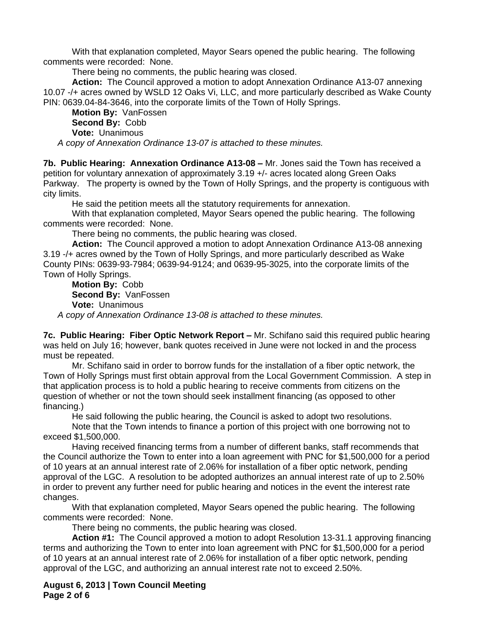With that explanation completed, Mayor Sears opened the public hearing. The following comments were recorded: None.

There being no comments, the public hearing was closed.

**Action:** The Council approved a motion to adopt Annexation Ordinance A13-07 annexing 10.07 -/+ acres owned by WSLD 12 Oaks Vi, LLC, and more particularly described as Wake County PIN: 0639.04-84-3646, into the corporate limits of the Town of Holly Springs.

**Motion By:** VanFossen **Second By:** Cobb **Vote:** Unanimous

*A copy of Annexation Ordinance 13-07 is attached to these minutes.*

**7b. Public Hearing: Annexation Ordinance A13-08 – Mr. Jones said the Town has received a** petition for voluntary annexation of approximately 3.19 +/- acres located along Green Oaks Parkway. The property is owned by the Town of Holly Springs, and the property is contiguous with city limits.

He said the petition meets all the statutory requirements for annexation.

With that explanation completed, Mayor Sears opened the public hearing. The following comments were recorded: None.

There being no comments, the public hearing was closed.

**Action:** The Council approved a motion to adopt Annexation Ordinance A13-08 annexing 3.19 -/+ acres owned by the Town of Holly Springs, and more particularly described as Wake County PINs: 0639-93-7984; 0639-94-9124; and 0639-95-3025, into the corporate limits of the Town of Holly Springs.

**Motion By:** Cobb **Second By:** VanFossen **Vote:** Unanimous

*A copy of Annexation Ordinance 13-08 is attached to these minutes.*

**7c. Public Hearing: Fiber Optic Network Report – Mr. Schifano said this required public hearing** was held on July 16; however, bank quotes received in June were not locked in and the process must be repeated.

Mr. Schifano said in order to borrow funds for the installation of a fiber optic network, the Town of Holly Springs must first obtain approval from the Local Government Commission. A step in that application process is to hold a public hearing to receive comments from citizens on the question of whether or not the town should seek installment financing (as opposed to other financing.)

He said following the public hearing, the Council is asked to adopt two resolutions.

Note that the Town intends to finance a portion of this project with one borrowing not to exceed \$1,500,000.

Having received financing terms from a number of different banks, staff recommends that the Council authorize the Town to enter into a loan agreement with PNC for \$1,500,000 for a period of 10 years at an annual interest rate of 2.06% for installation of a fiber optic network, pending approval of the LGC. A resolution to be adopted authorizes an annual interest rate of up to 2.50% in order to prevent any further need for public hearing and notices in the event the interest rate changes.

With that explanation completed, Mayor Sears opened the public hearing. The following comments were recorded: None.

There being no comments, the public hearing was closed.

**Action #1:** The Council approved a motion to adopt Resolution 13-31.1 approving financing terms and authorizing the Town to enter into loan agreement with PNC for \$1,500,000 for a period of 10 years at an annual interest rate of 2.06% for installation of a fiber optic network, pending approval of the LGC, and authorizing an annual interest rate not to exceed 2.50%.

**August 6, 2013 | Town Council Meeting Page 2 of 6**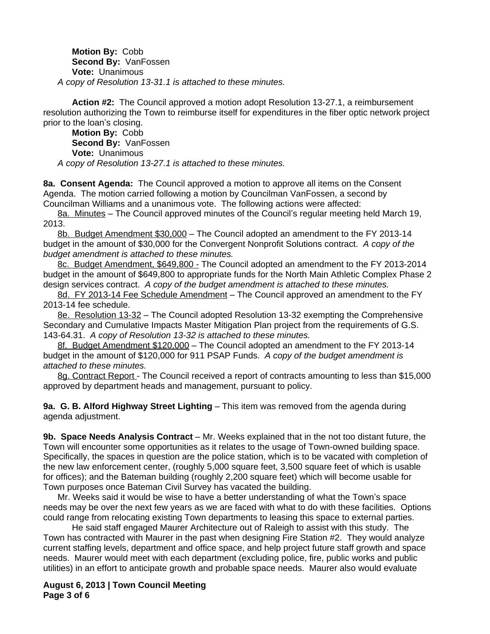**Motion By:** Cobb **Second By:** VanFossen **Vote:** Unanimous *A copy of Resolution 13-31.1 is attached to these minutes.*

**Action #2:** The Council approved a motion adopt Resolution 13-27.1, a reimbursement resolution authorizing the Town to reimburse itself for expenditures in the fiber optic network project prior to the loan's closing.

**Motion By:** Cobb **Second By:** VanFossen **Vote:** Unanimous *A copy of Resolution 13-27.1 is attached to these minutes.*

**8a. Consent Agenda:** The Council approved a motion to approve all items on the Consent Agenda. The motion carried following a motion by Councilman VanFossen, a second by Councilman Williams and a unanimous vote. The following actions were affected:

8a. Minutes – The Council approved minutes of the Council's regular meeting held March 19, 2013.

8b. Budget Amendment \$30,000 – The Council adopted an amendment to the FY 2013-14 budget in the amount of \$30,000 for the Convergent Nonprofit Solutions contract. *A copy of the budget amendment is attached to these minutes.*

8c. Budget Amendment, \$649,800 - The Council adopted an amendment to the FY 2013-2014 budget in the amount of \$649,800 to appropriate funds for the North Main Athletic Complex Phase 2 design services contract. *A copy of the budget amendment is attached to these minutes.*

8d. FY 2013-14 Fee Schedule Amendment - The Council approved an amendment to the FY 2013-14 fee schedule.

8e. Resolution 13-32 – The Council adopted Resolution 13-32 exempting the Comprehensive Secondary and Cumulative Impacts Master Mitigation Plan project from the requirements of G.S. 143-64.31. *A copy of Resolution 13-32 is attached to these minutes.*

8f. Budget Amendment \$120,000 – The Council adopted an amendment to the FY 2013-14 budget in the amount of \$120,000 for 911 PSAP Funds. *A copy of the budget amendment is attached to these minutes.*

8g. Contract Report - The Council received a report of contracts amounting to less than \$15,000 approved by department heads and management, pursuant to policy.

**9a. G. B. Alford Highway Street Lighting** – This item was removed from the agenda during agenda adjustment.

**9b. Space Needs Analysis Contract** – Mr. Weeks explained that in the not too distant future, the Town will encounter some opportunities as it relates to the usage of Town-owned building space. Specifically, the spaces in question are the police station, which is to be vacated with completion of the new law enforcement center, (roughly 5,000 square feet, 3,500 square feet of which is usable for offices); and the Bateman building (roughly 2,200 square feet) which will become usable for Town purposes once Bateman Civil Survey has vacated the building.

Mr. Weeks said it would be wise to have a better understanding of what the Town's space needs may be over the next few years as we are faced with what to do with these facilities. Options could range from relocating existing Town departments to leasing this space to external parties.

He said staff engaged Maurer Architecture out of Raleigh to assist with this study. The Town has contracted with Maurer in the past when designing Fire Station #2. They would analyze current staffing levels, department and office space, and help project future staff growth and space needs. Maurer would meet with each department (excluding police, fire, public works and public utilities) in an effort to anticipate growth and probable space needs. Maurer also would evaluate

**August 6, 2013 | Town Council Meeting Page 3 of 6**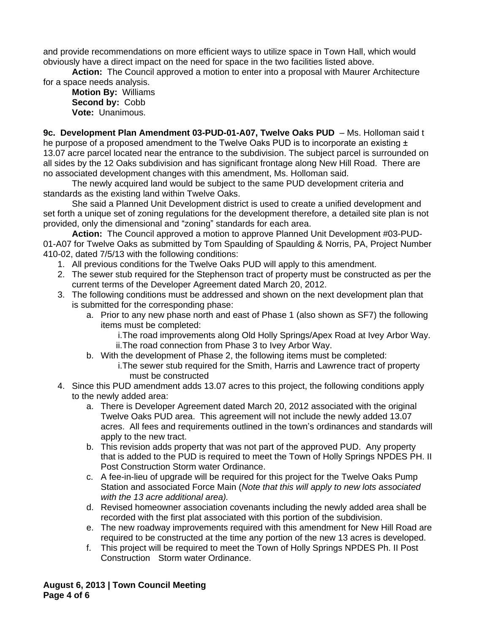and provide recommendations on more efficient ways to utilize space in Town Hall, which would obviously have a direct impact on the need for space in the two facilities listed above.

**Action:** The Council approved a motion to enter into a proposal with Maurer Architecture for a space needs analysis.

**Motion By:** Williams **Second by:** Cobb **Vote:** Unanimous.

**9c. Development Plan Amendment 03-PUD-01-A07, Twelve Oaks PUD** – Ms. Holloman said t he purpose of a proposed amendment to the Twelve Oaks PUD is to incorporate an existing  $\pm$ 13.07 acre parcel located near the entrance to the subdivision. The subject parcel is surrounded on all sides by the 12 Oaks subdivision and has significant frontage along New Hill Road. There are no associated development changes with this amendment, Ms. Holloman said.

The newly acquired land would be subject to the same PUD development criteria and standards as the existing land within Twelve Oaks.

She said a Planned Unit Development district is used to create a unified development and set forth a unique set of zoning regulations for the development therefore, a detailed site plan is not provided, only the dimensional and "zoning" standards for each area.

**Action:** The Council approved a motion to approve Planned Unit Development #03-PUD-01-A07 for Twelve Oaks as submitted by Tom Spaulding of Spaulding & Norris, PA, Project Number 410-02, dated 7/5/13 with the following conditions:

- 1. All previous conditions for the Twelve Oaks PUD will apply to this amendment.
- 2. The sewer stub required for the Stephenson tract of property must be constructed as per the current terms of the Developer Agreement dated March 20, 2012.
- 3. The following conditions must be addressed and shown on the next development plan that is submitted for the corresponding phase:
	- a. Prior to any new phase north and east of Phase 1 (also shown as SF7) the following items must be completed:
		- i.The road improvements along Old Holly Springs/Apex Road at Ivey Arbor Way. ii.The road connection from Phase 3 to Ivey Arbor Way.
	- b. With the development of Phase 2, the following items must be completed:
		- i.The sewer stub required for the Smith, Harris and Lawrence tract of property must be constructed
- 4. Since this PUD amendment adds 13.07 acres to this project, the following conditions apply to the newly added area:
	- a. There is Developer Agreement dated March 20, 2012 associated with the original Twelve Oaks PUD area. This agreement will not include the newly added 13.07 acres. All fees and requirements outlined in the town's ordinances and standards will apply to the new tract.
	- b. This revision adds property that was not part of the approved PUD. Any property that is added to the PUD is required to meet the Town of Holly Springs NPDES PH. II Post Construction Storm water Ordinance.
	- c. A fee-in-lieu of upgrade will be required for this project for the Twelve Oaks Pump Station and associated Force Main (*Note that this will apply to new lots associated with the 13 acre additional area).*
	- d. Revised homeowner association covenants including the newly added area shall be recorded with the first plat associated with this portion of the subdivision.
	- e. The new roadway improvements required with this amendment for New Hill Road are required to be constructed at the time any portion of the new 13 acres is developed.
	- f. This project will be required to meet the Town of Holly Springs NPDES Ph. II Post Construction Storm water Ordinance.

**August 6, 2013 | Town Council Meeting Page 4 of 6**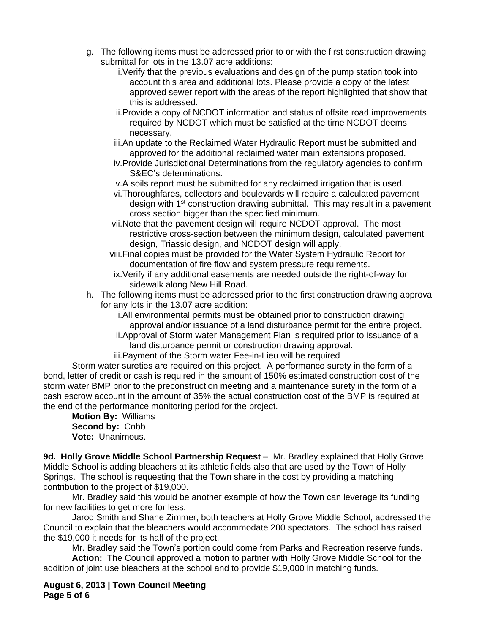- g. The following items must be addressed prior to or with the first construction drawing submittal for lots in the 13.07 acre additions:
	- i.Verify that the previous evaluations and design of the pump station took into account this area and additional lots. Please provide a copy of the latest approved sewer report with the areas of the report highlighted that show that this is addressed.
	- ii.Provide a copy of NCDOT information and status of offsite road improvements required by NCDOT which must be satisfied at the time NCDOT deems necessary.
	- iii.An update to the Reclaimed Water Hydraulic Report must be submitted and approved for the additional reclaimed water main extensions proposed.
	- iv.Provide Jurisdictional Determinations from the regulatory agencies to confirm S&EC's determinations.
	- v.A soils report must be submitted for any reclaimed irrigation that is used.
	- vi.Thoroughfares, collectors and boulevards will require a calculated pavement design with 1<sup>st</sup> construction drawing submittal. This may result in a pavement cross section bigger than the specified minimum.
	- vii.Note that the pavement design will require NCDOT approval. The most restrictive cross-section between the minimum design, calculated pavement design, Triassic design, and NCDOT design will apply.
	- viii.Final copies must be provided for the Water System Hydraulic Report for documentation of fire flow and system pressure requirements.
	- ix.Verify if any additional easements are needed outside the right-of-way for sidewalk along New Hill Road.
- h. The following items must be addressed prior to the first construction drawing approval for any lots in the 13.07 acre addition:
	- i.All environmental permits must be obtained prior to construction drawing approval and/or issuance of a land disturbance permit for the entire project.
	- ii.Approval of Storm water Management Plan is required prior to issuance of a land disturbance permit or construction drawing approval.
	- iii.Payment of the Storm water Fee-in-Lieu will be required

Storm water sureties are required on this project. A performance surety in the form of a bond, letter of credit or cash is required in the amount of 150% estimated construction cost of the storm water BMP prior to the preconstruction meeting and a maintenance surety in the form of a cash escrow account in the amount of 35% the actual construction cost of the BMP is required at the end of the performance monitoring period for the project.

## **Motion By:** Williams **Second by:** Cobb **Vote:** Unanimous.

**9d. Holly Grove Middle School Partnership Request** – Mr. Bradley explained that Holly Grove Middle School is adding bleachers at its athletic fields also that are used by the Town of Holly Springs. The school is requesting that the Town share in the cost by providing a matching contribution to the project of \$19,000.

Mr. Bradley said this would be another example of how the Town can leverage its funding for new facilities to get more for less.

Jarod Smith and Shane Zimmer, both teachers at Holly Grove Middle School, addressed the Council to explain that the bleachers would accommodate 200 spectators. The school has raised the \$19,000 it needs for its half of the project.

Mr. Bradley said the Town's portion could come from Parks and Recreation reserve funds.

**Action:** The Council approved a motion to partner with Holly Grove Middle School for the addition of joint use bleachers at the school and to provide \$19,000 in matching funds.

**August 6, 2013 | Town Council Meeting Page 5 of 6**